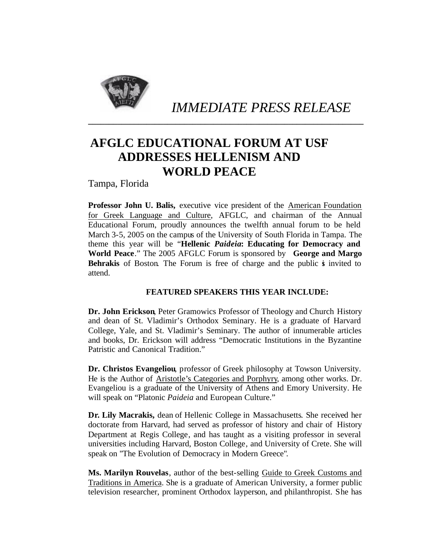

*IMMEDIATE PRESS RELEASE*

## **AFGLC EDUCATIONAL FORUM AT USF ADDRESSES HELLENISM AND WORLD PEACE**

**\_\_\_\_\_\_\_\_\_\_\_\_\_\_\_\_\_\_\_\_\_\_\_\_\_\_\_\_\_\_\_\_\_\_\_\_\_\_\_\_\_\_\_\_\_\_\_\_\_\_\_\_\_\_\_\_\_\_\_\_\_\_\_\_\_\_**

Tampa, Florida

**Professor John U. Balis,** executive vice president of the American Foundation for Greek Language and Culture, AFGLC, and chairman of the Annual Educational Forum, proudly announces the twelfth annual forum to be held March 3-5, 2005 on the campus of the University of South Florida in Tampa. The theme this year will be "**Hellenic** *Paideia***: Educating for Democracy and World Peace**." The 2005 AFGLC Forum is sponsored by **George and Margo Behrakis** of Boston. The Forum is free of charge and the public is invited to attend.

## **FEATURED SPEAKERS THIS YEAR INCLUDE:**

**Dr. John Erickson**, Peter Gramowics Professor of Theology and Church History and dean of St. Vladimir's Orthodox Seminary. He is a graduate of Harvard College, Yale, and St. Vladimir's Seminary. The author of innumerable articles and books, Dr. Erickson will address "Democratic Institutions in the Byzantine Patristic and Canonical Tradition."

**Dr. Christos Evangeliou**, professor of Greek philosophy at Towson University. He is the Author of Aristotle's Categories and Porphyry, among other works. Dr. Evangeliou is a graduate of the University of Athens and Emory University. He will speak on "Platonic *Paideia* and European Culture."

**Dr. Lily Macrakis,** dean of Hellenic College in Massachusetts. She received her doctorate from Harvard, had served as professor of history and chair of History Department at Regis College, and has taught as a visiting professor in several universities including Harvard, Boston College, and University of Crete. She will speak on "The Evolution of Democracy in Modern Greece".

**Ms. Marilyn Rouvelas**, author of the best-selling Guide to Greek Customs and Traditions in America. She is a graduate of American University, a former public television researcher, prominent Orthodox layperson, and philanthropist. She has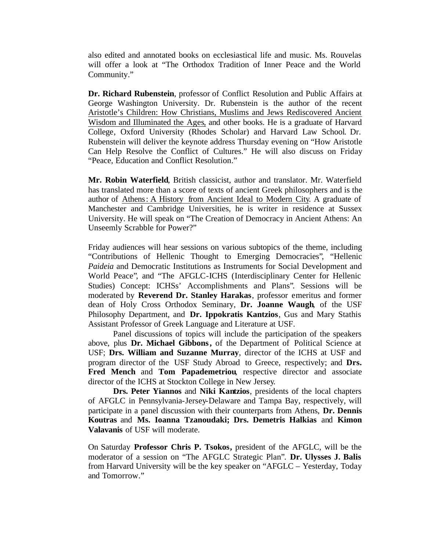also edited and annotated books on ecclesiastical life and music. Ms. Rouvelas will offer a look at "The Orthodox Tradition of Inner Peace and the World Community."

**Dr. Richard Rubenstein**, professor of Conflict Resolution and Public Affairs at George Washington University. Dr. Rubenstein is the author of the recent Aristotle's Children: How Christians, Muslims and Jews Rediscovered Ancient Wisdom and Illuminated the Ages, and other books. He is a graduate of Harvard College, Oxford University (Rhodes Scholar) and Harvard Law School. Dr. Rubenstein will deliver the keynote address Thursday evening on "How Aristotle Can Help Resolve the Conflict of Cultures." He will also discuss on Friday "Peace, Education and Conflict Resolution."

**Mr. Robin Waterfield**, British classicist, author and translator. Mr. Waterfield has translated more than a score of texts of ancient Greek philosophers and is the author of Athens: A History from Ancient Ideal to Modern City. A graduate of Manchester and Cambridge Universities, he is writer in residence at Sussex University. He will speak on "The Creation of Democracy in Ancient Athens: An Unseemly Scrabble for Power?"

Friday audiences will hear sessions on various subtopics of the theme, including "Contributions of Hellenic Thought to Emerging Democracies", "Hellenic *Paideia* and Democratic Institutions as Instruments for Social Development and World Peace", and "The AFGLC-ICHS (Interdisciplinary Center for Hellenic Studies) Concept: ICHSs' Accomplishments and Plans". Sessions will be moderated by **Reverend Dr. Stanley Harakas**, professor emeritus and former dean of Holy Cross Orthodox Seminary, **Dr. Joanne Waugh**, of the USF Philosophy Department, and **Dr. Ippokratis Kantzios**, Gus and Mary Stathis Assistant Professor of Greek Language and Literature at USF.

Panel discussions of topics will include the participation of the speakers above, plus **Dr. Michael Gibbons,** of the Department of Political Science at USF; **Drs. William and Suzanne Murray**, director of the ICHS at USF and program director of the USF Study Abroad to Greece, respectively; and **Drs. Fred Mench** and **Tom Papademetriou**, respective director and associate director of the ICHS at Stockton College in New Jersey.

**Drs. Peter Yiannos** and **Niki Kantzios**, presidents of the local chapters of AFGLC in Pennsylvania-Jersey-Delaware and Tampa Bay, respectively, will participate in a panel discussion with their counterparts from Athens, **Dr. Dennis Koutras** and **Ms. Ioanna Tzanoudaki; Drs. Demetris Halkias** and **Kimon Valavanis** of USF will moderate.

On Saturday **Professor Chris P. Tsokos,** president of the AFGLC, will be the moderator of a session on "The AFGLC Strategic Plan". **Dr. Ulysses J. Balis**  from Harvard University will be the key speaker on "AFGLC – Yesterday, Today and Tomorrow."